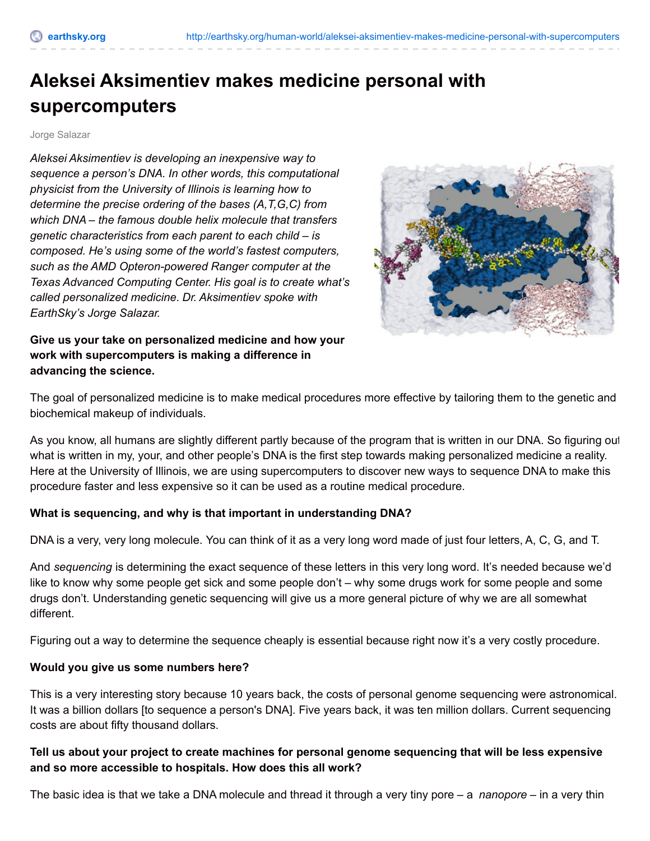# **Aleksei Aksimentiev makes medicine personal with supercomputers**

Jorge Salazar

*Aleksei Aksimentiev is developing an inexpensive way to sequence a person's DNA. In other words, this computational physicist from the University of Illinois is learning how to determine the precise ordering of the bases (A,T,G,C) from which DNA – the famous double helix molecule that transfers genetic characteristics from each parent to each child – is composed. He's using some of the world's fastest computers, such as the AMD Opteron-powered Ranger computer at the Texas Advanced Computing Center. His goal is to create what's called personalized medicine. Dr. Aksimentiev spoke with EarthSky's Jorge Salazar.*



**Give us your take on personalized medicine and how your work with supercomputers is making a difference in advancing the science.**

The goal of personalized medicine is to make medical procedures more effective by tailoring them to the genetic and biochemical makeup of individuals.

As you know, all humans are slightly different partly because of the program that is written in our DNA. So figuring out what is written in my, your, and other people's DNA is the first step towards making personalized medicine a reality. Here at the University of Illinois, we are using supercomputers to discover new ways to sequence DNA to make this procedure faster and less expensive so it can be used as a routine medical procedure.

## **What is sequencing, and why is that important in understanding DNA?**

DNA is a very, very long molecule. You can think of it as a very long word made of just four letters, A, C, G, and T.

And *sequencing* is determining the exact sequence of these letters in this very long word. It's needed because we'd like to know why some people get sick and some people don't – why some drugs work for some people and some drugs don't. Understanding genetic sequencing will give us a more general picture of why we are all somewhat different.

Figuring out a way to determine the sequence cheaply is essential because right now it's a very costly procedure.

## **Would you give us some numbers here?**

This is a very interesting story because 10 years back, the costs of personal genome sequencing were astronomical. It was a billion dollars [to sequence a person's DNA]. Five years back, it was ten million dollars. Current sequencing costs are about fifty thousand dollars.

# **Tell us about your project to create machines for personal genome sequencing that will be less expensive and so more accessible to hospitals. How does this all work?**

The basic idea is that we take a DNA molecule and thread it through a very tiny pore – a *nanopore* – in a very thin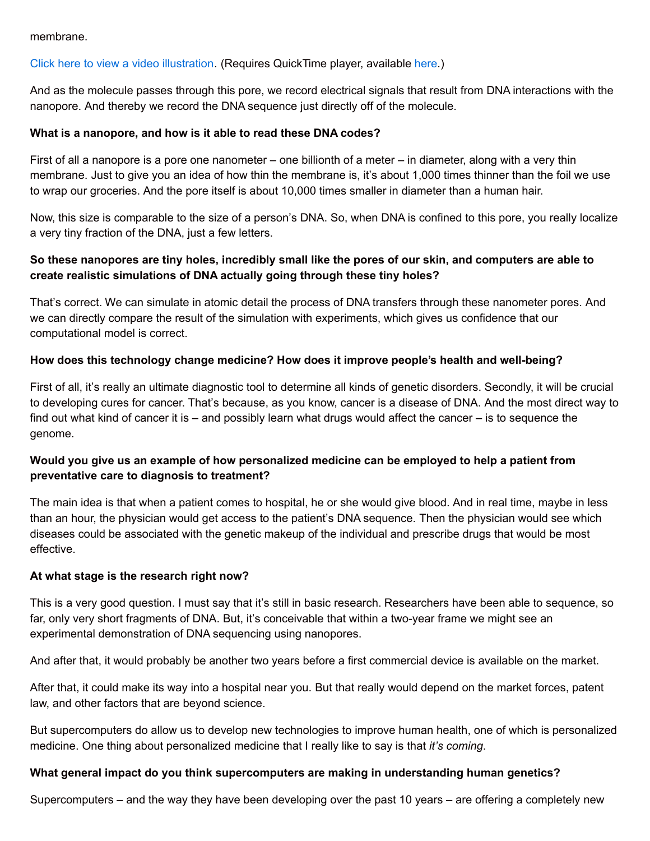#### membrane.

## Click here to view a video [illustration](http://en.es-static.us/upl/2011/05/movieDNAoscillation.mov?width=163&height=270). (Requires QuickTime player, available [here](http://www.apple.com/quicktime/download/).)

And as the molecule passes through this pore, we record electrical signals that result from DNA interactions with the nanopore. And thereby we record the DNA sequence just directly off of the molecule.

#### **What is a nanopore, and how is it able to read these DNA codes?**

First of all a nanopore is a pore one nanometer – one billionth of a meter – in diameter, along with a very thin membrane. Just to give you an idea of how thin the membrane is, it's about 1,000 times thinner than the foil we use to wrap our groceries. And the pore itself is about 10,000 times smaller in diameter than a human hair.

Now, this size is comparable to the size of a person's DNA. So, when DNA is confined to this pore, you really localize a very tiny fraction of the DNA, just a few letters.

# So these nanopores are tiny holes, incredibly small like the pores of our skin, and computers are able to **create realistic simulations of DNA actually going through these tiny holes?**

That's correct. We can simulate in atomic detail the process of DNA transfers through these nanometer pores. And we can directly compare the result of the simulation with experiments, which gives us confidence that our computational model is correct.

## **How does this technology change medicine? How does it improve people's health and well-being?**

First of all, it's really an ultimate diagnostic tool to determine all kinds of genetic disorders. Secondly, it will be crucial to developing cures for cancer. That's because, as you know, cancer is a disease of DNA. And the most direct way to find out what kind of cancer it is – and possibly learn what drugs would affect the cancer – is to sequence the genome.

# **Would you give us an example of how personalized medicine can be employed to help a patient from preventative care to diagnosis to treatment?**

The main idea is that when a patient comes to hospital, he or she would give blood. And in real time, maybe in less than an hour, the physician would get access to the patient's DNA sequence. Then the physician would see which diseases could be associated with the genetic makeup of the individual and prescribe drugs that would be most effective.

## **At what stage is the research right now?**

This is a very good question. I must say that it's still in basic research. Researchers have been able to sequence, so far, only very short fragments of DNA. But, it's conceivable that within a two-year frame we might see an experimental demonstration of DNA sequencing using nanopores.

And after that, it would probably be another two years before a first commercial device is available on the market.

After that, it could make its way into a hospital near you. But that really would depend on the market forces, patent law, and other factors that are beyond science.

But supercomputers do allow us to develop new technologies to improve human health, one of which is personalized medicine. One thing about personalized medicine that I really like to say is that *it's coming*.

#### **What general impact do you think supercomputers are making in understanding human genetics?**

Supercomputers – and the way they have been developing over the past 10 years – are offering a completely new